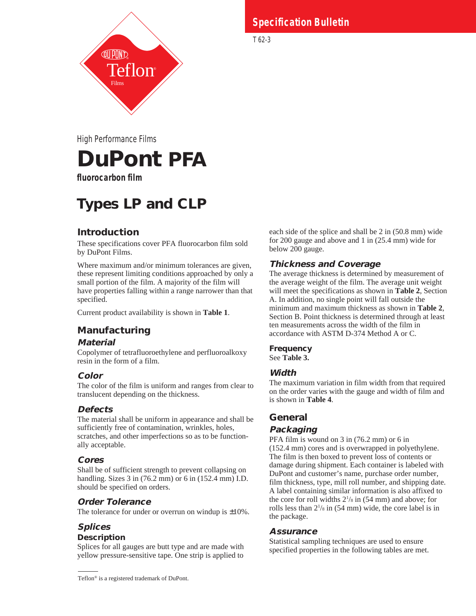

#### **Specification Bulletin Specification Bulletin**

T 62-3

High Performance Films

# **DuPont PFA**

**fluorocarbon film**

## **Types LP and CLP**

## **Introduction**

These specifications cover PFA fluorocarbon film sold by DuPont Films.

Where maximum and/or minimum tolerances are given, these represent limiting conditions approached by only a small portion of the film. A majority of the film will have properties falling within a range narrower than that specified.

Current product availability is shown in **Table 1**.

## **Manufacturing**

## **Material**

Copolymer of tetrafluoroethylene and perfluoroalkoxy resin in the form of a film.

## **Color**

The color of the film is uniform and ranges from clear to translucent depending on the thickness.

## **Defects**

The material shall be uniform in appearance and shall be sufficiently free of contamination, wrinkles, holes, scratches, and other imperfections so as to be functionally acceptable.

## **Cores**

Shall be of sufficient strength to prevent collapsing on handling. Sizes 3 in (76.2 mm) or 6 in (152.4 mm) I.D. should be specified on orders.

## **Order Tolerance**

The tolerance for under or overrun on windup is  $\pm 10\%$ .

## **Splices**

## **Description**

Splices for all gauges are butt type and are made with yellow pressure-sensitive tape. One strip is applied to

Teflon® is a registered trademark of DuPont.

each side of the splice and shall be 2 in (50.8 mm) wide for 200 gauge and above and 1 in (25.4 mm) wide for below 200 gauge.

## **Thickness and Coverage**

The average thickness is determined by measurement of the average weight of the film. The average unit weight will meet the specifications as shown in **Table 2**, Section A. In addition, no single point will fall outside the minimum and maximum thickness as shown in **Table 2**, Section B. Point thickness is determined through at least ten measurements across the width of the film in accordance with ASTM D-374 Method A or C.

## **Frequency**

See **Table 3.**

## **Width**

The maximum variation in film width from that required on the order varies with the gauge and width of film and is shown in **Table 4**.

## **General**

## **Packaging**

PFA film is wound on 3 in (76.2 mm) or 6 in (152.4 mm) cores and is overwrapped in polyethylene. The film is then boxed to prevent loss of contents or damage during shipment. Each container is labeled with DuPont and customer's name, purchase order number, film thickness, type, mill roll number, and shipping date. A label containing similar information is also affixed to the core for roll widths  $2^{1}/s$  in (54 mm) and above; for rolls less than 21 /8 in (54 mm) wide, the core label is in the package.

## **Assurance**

Statistical sampling techniques are used to ensure specified properties in the following tables are met.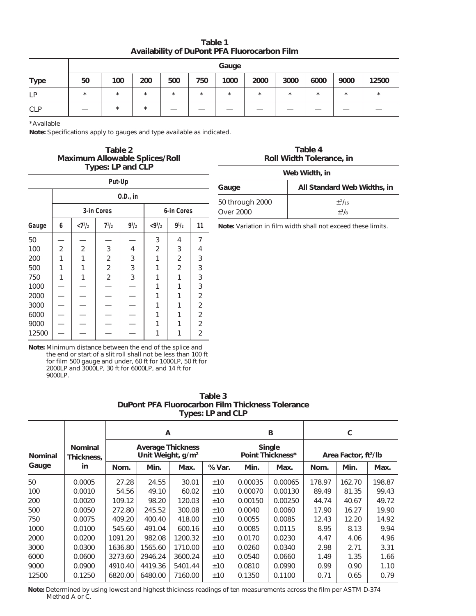**Table 1 Availability of DuPont PFA Fluorocarbon Film**

|             | Gauge   |          |          |         |         |         |         |         |         |          |          |  |
|-------------|---------|----------|----------|---------|---------|---------|---------|---------|---------|----------|----------|--|
| <b>Type</b> | 50      | 100      | 200      | 500     | 750     | 1000    | 2000    | 3000    | 6000    | 9000     | 12500    |  |
| LP          | $\star$ | $^\star$ | $\star$  | $\star$ | $\star$ | $\star$ | $\star$ | $\star$ | $\star$ | $^\star$ | $^\star$ |  |
| <b>CLP</b>  |         | *        | $^\star$ |         |         |         |         |         |         |          |          |  |

\*Available

**Note:** Specifications apply to gauges and type available as indicated.

#### **Table 2 Maximum Allowable Splices/Roll Types: LP and CLP**

| Put-Up |                          |                |                           |                                                                                                                                                                                                                                                                                                                                                                                                                                                                                                                                                                                                                                                                                                                     |                |                |                |  |  |  |  |  |  |
|--------|--------------------------|----------------|---------------------------|---------------------------------------------------------------------------------------------------------------------------------------------------------------------------------------------------------------------------------------------------------------------------------------------------------------------------------------------------------------------------------------------------------------------------------------------------------------------------------------------------------------------------------------------------------------------------------------------------------------------------------------------------------------------------------------------------------------------|----------------|----------------|----------------|--|--|--|--|--|--|
|        | 0.D., in                 |                |                           |                                                                                                                                                                                                                                                                                                                                                                                                                                                                                                                                                                                                                                                                                                                     |                |                |                |  |  |  |  |  |  |
|        | 3-in Cores<br>6-in Cores |                |                           |                                                                                                                                                                                                                                                                                                                                                                                                                                                                                                                                                                                                                                                                                                                     |                |                |                |  |  |  |  |  |  |
| Gauge  | 6                        | $< 7^{1}/_{2}$ | $7^{1/2}$                 | $< 9^{1}/_{2}$                                                                                                                                                                                                                                                                                                                                                                                                                                                                                                                                                                                                                                                                                                      | $9^{1}/_{2}$   | 11             |                |  |  |  |  |  |  |
| 50     |                          |                |                           |                                                                                                                                                                                                                                                                                                                                                                                                                                                                                                                                                                                                                                                                                                                     | 3              | 4              | 7              |  |  |  |  |  |  |
| 100    | 2                        | $\overline{2}$ | $\ensuremath{\mathsf{3}}$ | 4                                                                                                                                                                                                                                                                                                                                                                                                                                                                                                                                                                                                                                                                                                                   | $\overline{2}$ | 3              | 4              |  |  |  |  |  |  |
| 200    | 1                        | 1              | $\overline{2}$            | 3                                                                                                                                                                                                                                                                                                                                                                                                                                                                                                                                                                                                                                                                                                                   | 1              | 2              | 3              |  |  |  |  |  |  |
| 500    | 1                        | 1              | $\overline{2}$            | 3                                                                                                                                                                                                                                                                                                                                                                                                                                                                                                                                                                                                                                                                                                                   | 1              | $\overline{2}$ | 3              |  |  |  |  |  |  |
| 750    | 1                        | 1              | $\sqrt{2}$                | $\mathfrak{Z}$                                                                                                                                                                                                                                                                                                                                                                                                                                                                                                                                                                                                                                                                                                      | 1              | 1              | 3              |  |  |  |  |  |  |
| 1000   |                          |                |                           |                                                                                                                                                                                                                                                                                                                                                                                                                                                                                                                                                                                                                                                                                                                     |                |                | 3              |  |  |  |  |  |  |
| 2000   |                          |                |                           |                                                                                                                                                                                                                                                                                                                                                                                                                                                                                                                                                                                                                                                                                                                     |                |                | $\overline{2}$ |  |  |  |  |  |  |
| 3000   |                          |                |                           |                                                                                                                                                                                                                                                                                                                                                                                                                                                                                                                                                                                                                                                                                                                     | 1              |                | $\overline{2}$ |  |  |  |  |  |  |
| 6000   |                          |                |                           |                                                                                                                                                                                                                                                                                                                                                                                                                                                                                                                                                                                                                                                                                                                     |                |                | 2              |  |  |  |  |  |  |
| 9000   |                          |                |                           | $\begin{array}{c} \blacksquare \quad \blacksquare \quad \blacksquare \quad \blacksquare \quad \blacksquare \quad \blacksquare \quad \blacksquare \quad \blacksquare \quad \blacksquare \quad \blacksquare \quad \blacksquare \quad \blacksquare \quad \blacksquare \quad \blacksquare \quad \blacksquare \quad \blacksquare \quad \blacksquare \quad \blacksquare \quad \blacksquare \quad \blacksquare \quad \blacksquare \quad \blacksquare \quad \blacksquare \quad \blacksquare \quad \blacksquare \quad \blacksquare \quad \blacksquare \quad \blacksquare \quad \blacksquare \quad \blacksquare \quad \blacksquare \quad \blacksquare \quad \blacksquare \quad \blacksquare \quad \blacksquare \quad \blacks$ |                |                | $\overline{2}$ |  |  |  |  |  |  |
| 12500  |                          |                |                           |                                                                                                                                                                                                                                                                                                                                                                                                                                                                                                                                                                                                                                                                                                                     |                |                | 2              |  |  |  |  |  |  |

| Table 4<br><b>Roll Width Tolerance, in</b> |                             |  |  |  |  |  |  |  |
|--------------------------------------------|-----------------------------|--|--|--|--|--|--|--|
| Web Width, in                              |                             |  |  |  |  |  |  |  |
| Gauge                                      | All Standard Web Widths, in |  |  |  |  |  |  |  |
| 50 through 2000<br>Over 2000               | $+1/16$<br>$+1/8$           |  |  |  |  |  |  |  |

**Note:** Variation in film width shall not exceed these limits.

**Note:** Minimum distance between the end of the splice and the end or start of a slit roll shall not be less than 100 ft for film 500 gauge and under, 60 ft for 1000LP, 50 ft for 2000LP and 3000LP, 30 ft for 6000LP, and 14 ft for 9000LP.

| Table 3                                                 |
|---------------------------------------------------------|
| <b>DuPont PFA Fluorocarbon Film Thickness Tolerance</b> |
| Types: LP and CLP                                       |

|                |                              |                      | A                                                |         |      |         | в                          | C                                |        |        |  |
|----------------|------------------------------|----------------------|--------------------------------------------------|---------|------|---------|----------------------------|----------------------------------|--------|--------|--|
| <b>Nominal</b> | <b>Nominal</b><br>Thickness, |                      | <b>Average Thickness</b><br>Unit Weight, $g/m^2$ |         |      |         | Single<br>Point Thickness* | Area Factor, ft <sup>2</sup> /lb |        |        |  |
| Gauge          | in                           | Min.<br>Nom.<br>Max. |                                                  | % Var.  | Min. | Max.    | Nom.                       | Min.                             | Max.   |        |  |
| 50             | 0.0005                       | 27.28                | 24.55                                            | 30.01   | ±10  | 0.00035 | 0.00065                    | 178.97                           | 162.70 | 198.87 |  |
| 100            | 0.0010                       | 54.56                | 49.10                                            | 60.02   | ±10  | 0.00070 | 0.00130                    | 89.49                            | 81.35  | 99.43  |  |
| 200            | 0.0020                       | 109.12               | 98.20                                            | 120.03  | ±10  | 0.00150 | 0.00250                    | 44.74                            | 40.67  | 49.72  |  |
| 500            | 0.0050                       | 272.80               | 245.52                                           | 300.08  | ±10  | 0.0040  | 0.0060                     | 17.90                            | 16.27  | 19.90  |  |
| 750            | 0.0075                       | 409.20               | 400.40                                           | 418.00  | ±10  | 0.0055  | 0.0085                     | 12.43                            | 12.20  | 14.92  |  |
| 1000           | 0.0100                       | 545.60               | 491.04                                           | 600.16  | ±10  | 0.0085  | 0.0115                     | 8.95                             | 8.13   | 9.94   |  |
| 2000           | 0.0200                       | 1091.20              | 982.08                                           | 1200.32 | ±10  | 0.0170  | 0.0230                     | 4.47                             | 4.06   | 4.96   |  |
| 3000           | 0.0300                       | 1636.80              | 1565.60                                          | 1710.00 | ±10  | 0.0260  | 0.0340                     | 2.98                             | 2.71   | 3.31   |  |
| 6000           | 0.0600                       | 3273.60              | 2946.24                                          | 3600.24 | ±10  | 0.0540  | 0.0660                     | 1.49                             | 1.35   | 1.66   |  |
| 9000           | 0.0900                       | 4910.40              | 4419.36                                          | 5401.44 | ±10  | 0.0810  | 0.0990                     | 0.99                             | 0.90   | 1.10   |  |
| 12500          | 0.1250                       | 6820.00              | 6480.00                                          | 7160.00 | ±10  | 0.1350  | 0.1100                     | 0.71                             | 0.65   | 0.79   |  |

**Note:** Determined by using lowest and highest thickness readings of ten measurements across the film per ASTM D-374 Method A or C.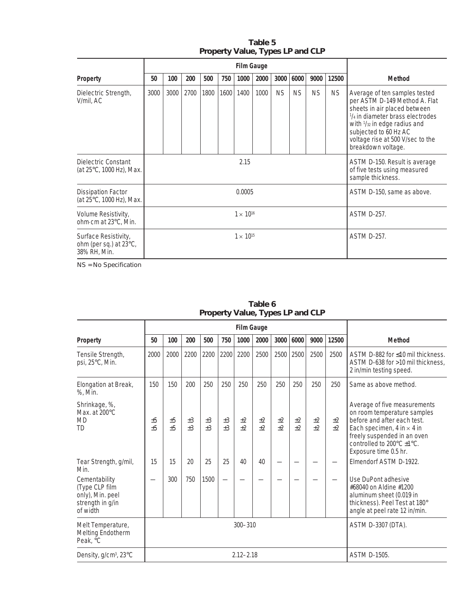|                                                                | <b>Film Gauge</b>  |        |      |      |                            |      |      |                                                                                    |           |           |                    |                                                                                                                                                                                                                                                                 |  |
|----------------------------------------------------------------|--------------------|--------|------|------|----------------------------|------|------|------------------------------------------------------------------------------------|-----------|-----------|--------------------|-----------------------------------------------------------------------------------------------------------------------------------------------------------------------------------------------------------------------------------------------------------------|--|
| Property                                                       | 50                 | 100    | 200  | 500  | 750                        | 1000 | 2000 | 3000                                                                               | 6000      | 9000      | 12500              | <b>Method</b>                                                                                                                                                                                                                                                   |  |
| Dielectric Strength,<br>V/mil, AC                              | 3000               | 3000   | 2700 | 1800 | 1600                       | 1400 | 1000 | <b>NS</b>                                                                          | <b>NS</b> | <b>NS</b> | NS.                | Average of ten samples tested<br>per ASTM D-149 Method A. Flat<br>sheets in air placed between<br>1/4 in diameter brass electrodes<br>with $\frac{1}{32}$ in edge radius and<br>subjected to 60 Hz AC<br>voltage rise at 500 V/sec to the<br>breakdown voltage. |  |
| Dielectric Constant<br>(at 25°C, 1000 Hz), Max.                |                    | 2.15   |      |      |                            |      |      | ASTM D-150. Result is average<br>of five tests using measured<br>sample thickness. |           |           |                    |                                                                                                                                                                                                                                                                 |  |
| <b>Dissipation Factor</b><br>(at 25°C, 1000 Hz), Max.          |                    | 0.0005 |      |      | ASTM D-150, same as above. |      |      |                                                                                    |           |           |                    |                                                                                                                                                                                                                                                                 |  |
| Volume Resistivity,<br>ohm cm at 23°C, Min.                    | $1 \times 10^{16}$ |        |      |      |                            |      |      |                                                                                    |           |           | <b>ASTM D-257.</b> |                                                                                                                                                                                                                                                                 |  |
| Surface Resistivity,<br>ohm (per sq.) at 23°C,<br>38% RH, Min. | $1 \times 10^{15}$ |        |      |      |                            |      |      |                                                                                    |           |           | <b>ASTM D-257.</b> |                                                                                                                                                                                                                                                                 |  |

#### **Table 5 Property Value, Types LP and CLP**

NS = No Specification

|                                                                                     | <b>Film Gauge</b> |               |            |            |               |              |            |                     |            |                    |            |                                                                                                                                                                                                                                         |
|-------------------------------------------------------------------------------------|-------------------|---------------|------------|------------|---------------|--------------|------------|---------------------|------------|--------------------|------------|-----------------------------------------------------------------------------------------------------------------------------------------------------------------------------------------------------------------------------------------|
| <b>Property</b>                                                                     | 50                | 100           | 200        | 500        | 750           | 1000         | 2000       | 3000                | 6000       | 9000               | 12500      | <b>Method</b>                                                                                                                                                                                                                           |
| Tensile Strength,<br>psi, 25°C, Min.                                                | 2000              | 2000          | 2200       | 2200       | 2200          | 2200         | 2500       | 2500                | 2500       | 2500               | 2500       | ASTM D-882 for ≤10 mil thickness.<br>ASTM D-638 for >10 mil thickness,<br>2 in/min testing speed.                                                                                                                                       |
| Elongation at Break,<br>%, Min.                                                     | 150               | 150           | 200        | 250        | 250           | 250          | 250        | 250                 | 250        | 250                | 250        | Same as above method.                                                                                                                                                                                                                   |
| Shrinkage, %,<br>Max. at 200°C<br>MD<br>TD                                          | ±5<br>±5          | ±5<br>±5      | ±3<br>$+3$ | ±3<br>$+3$ | ±3<br>$\pm$ 3 | $+2$<br>$+2$ | $+2$<br>±2 | $+2$<br>$+2$        | ±2<br>$+2$ | $+2$<br>$+2$       | $+2$<br>±2 | Average of five measurements<br>on room temperature samples<br>before and after each test.<br>Each specimen, $4$ in $\times$ $4$ in<br>freely suspended in an oven<br>controlled to $200^{\circ}$ C $\pm$ 1°C.<br>Exposure time 0.5 hr. |
| Tear Strength, g/mil,<br>Min.                                                       | 15                | 15            | 20         | 25         | 25            | 40           | 40         |                     |            |                    |            | Elmendorf ASTM D-1922.                                                                                                                                                                                                                  |
| Cementability<br>(Type CLP film<br>only), Min. peel<br>strength in g/in<br>of width |                   | 300           | 750        | 1500       |               |              |            |                     |            |                    |            | Use DuPont adhesive<br>#68040 on Aldine #1200<br>aluminum sheet (0.019 in<br>thickness). Peel Test at 180°<br>angle at peel rate 12 in/min.                                                                                             |
| Melt Temperature,<br><b>Melting Endotherm</b><br>Peak, °C                           |                   | $300 - 310$   |            |            |               |              |            |                     |            | ASTM D-3307 (DTA). |            |                                                                                                                                                                                                                                         |
| Density, g/cm <sup>3</sup> , 23°C                                                   |                   | $2.12 - 2.18$ |            |            |               |              |            | <b>ASTM D-1505.</b> |            |                    |            |                                                                                                                                                                                                                                         |

#### **Table 6 Property Value, Types LP and CLP**